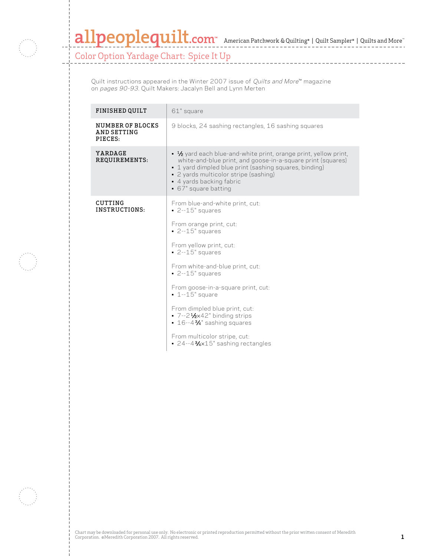

## allpeoplequilt.com<sup>™</sup> American Patchwork & Quilting<sup>®</sup> | Quilt Sampler® | Quilts and More™

Color Option Yardage Chart: Spice It Up

Quilt instructions appeared in the Winter 2007 issue of *Quilts and More*™ magazine on pages 90-93. Quilt Makers: Jacalyn Bell and Lynn Merten

| <b>FINISHED QUILT</b>                      | 61" square                                                                                                                                                                                                                                                                                                                                                                                                                                                                            |
|--------------------------------------------|---------------------------------------------------------------------------------------------------------------------------------------------------------------------------------------------------------------------------------------------------------------------------------------------------------------------------------------------------------------------------------------------------------------------------------------------------------------------------------------|
| NUMBER OF BLOCKS<br>AND SETTING<br>PIECES: | 9 blocks, 24 sashing rectangles, 16 sashing squares                                                                                                                                                                                                                                                                                                                                                                                                                                   |
| YARDAGE<br>REQUIREMENTS:                   | $\bullet$ $\frac{1}{2}$ yard each blue-and-white print, orange print, yellow print,<br>white-and-blue print, and goose-in-a-square print (squares)<br>• 1 yard dimpled blue print (sashing squares, binding)<br>• 2 yards multicolor stripe (sashing)<br>• 4 yards backing fabric<br>• 67" square batting                                                                                                                                                                             |
| CUTTING<br>INSTRUCTIONS:                   | From blue-and-white print, cut:<br>$-2 - 15$ " squares<br>From orange print, cut:<br>$-2 - 15$ " squares<br>From yellow print, cut:<br>$-2 - 15$ " squares<br>From white-and-blue print, cut:<br>$-2 - 15$ " squares<br>From goose-in-a-square print, cut:<br>$-1 - 15$ " square<br>From dimpled blue print, cut:<br>7--21/2×42" binding strips<br>$\cdot$ 16--4% <sup>3</sup> /4" sashing squares<br>From multicolor stripe, cut:<br>$\cdot$ 24--43% $\times$ 15" sashing rectangles |